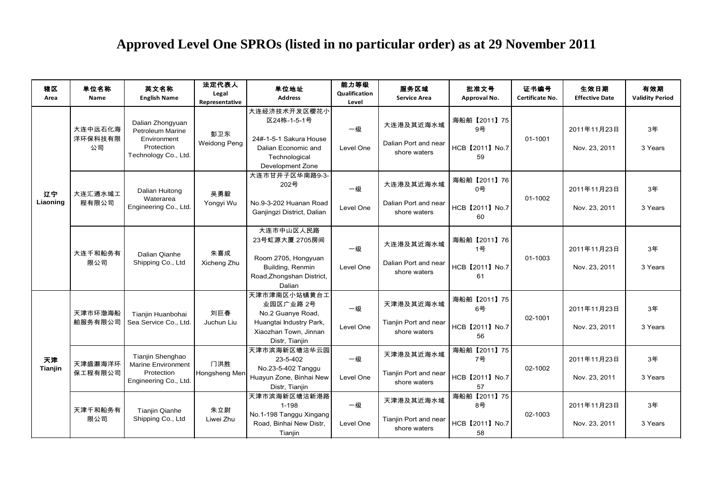## **Approved Level One SPROs (listed in no particular order) as at 29 November 2011**

|                |                          |                                                                                                  |                                  | Approved Level One SPROs (listed in no particular order) as at 29 November 2011                                      |                                       |                                                    |                                            |                         |                               |                               |
|----------------|--------------------------|--------------------------------------------------------------------------------------------------|----------------------------------|----------------------------------------------------------------------------------------------------------------------|---------------------------------------|----------------------------------------------------|--------------------------------------------|-------------------------|-------------------------------|-------------------------------|
| 辖区<br>Area     | 单位名称<br>Name             | 英文名称<br><b>English Name</b>                                                                      | 法定代表人<br>Legal<br>Representative | 单位地址<br><b>Address</b>                                                                                               | 能力等级<br><b>Qualification</b><br>Level | 服务区域<br><b>Service Area</b>                        | 批准文号<br>Approval No.                       | 证书编号<br>Certificate No. | 生效日期<br><b>Effective Date</b> | 有效期<br><b>Validity Period</b> |
| 辽宁<br>Liaoning | 大连中远石化海<br>洋环保科技有限<br>公司 | Dalian Zhongyuan<br><b>Petroleum Marine</b><br>Environment<br>Protection<br>Technology Co., Ltd. | 彭卫东<br>Weidong Peng              | 大连经济技术开发区樱花小<br>区24栋-1-5-1号<br>24#-1-5-1 Sakura House<br>Dalian Economic and<br>Technological<br>Development Zone    | 一级<br>Level One                       | 大连港及其近海水域<br>Dalian Port and near<br>shore waters  | 海船舶【2011】75<br>9号<br>HCB 【2011】 No.7<br>59 | 01-1001                 | 2011年11月23日<br>Nov. 23, 2011  | 3年<br>3 Years                 |
|                | 大连汇通水域工<br>程有限公司         | Dalian Huitong<br>Waterarea<br>Engineering Co., Ltd.                                             | 吴勇毅<br>Yongyi Wu                 | 大连市甘井子区华南路9-3-<br>202号<br>No.9-3-202 Huanan Road<br>Ganjingzi District, Dalian                                       | 一级<br>Level One                       | 大连港及其近海水域<br>Dalian Port and near<br>shore waters  | 海船舶【2011】76<br>0号<br>HCB 【2011】 No.7<br>60 | 01-1002                 | 2011年11月23日<br>Nov. 23, 2011  | 3年<br>3 Years                 |
|                | 大连千和船务有<br>限公司           | Dalian Qianhe<br>Shipping Co., Ltd                                                               | 朱喜成<br>Xicheng Zhu               | 大连市中山区人民路<br>23号虹源大厦 2705房间<br>Room 2705, Hongyuan<br>Building, Renmin<br>Road, Zhongshan District,<br>Dalian        | 一级<br>Level One                       | 大连港及其近海水域<br>Dalian Port and near<br>shore waters  | 海船舶【2011】76<br>1号<br>HCB 【2011】 No.7<br>61 | 01-1003                 | 2011年11月23日<br>Nov. 23, 2011  | 3年<br>3 Years                 |
| 天津<br>Tianjin  | 天津市环渤海船<br>舶服务有限公司       | Tianjin Huanbohai<br>Sea Service Co., Ltd.                                                       | 刘巨春<br>Juchun Liu                | 天津市津南区小站镇黄台工<br>业园区广业路 2号<br>No.2 Guanye Road,<br>Huangtai Industry Park,<br>Xiaozhan Town, Jinnan<br>Distr, Tianjin | 一级<br>Level One                       | 天津港及其近海水域<br>Tianjin Port and near<br>shore waters | 海船舶【2011】75<br>6号<br>HCB 【2011】No.7<br>56  | 02-1001                 | 2011年11月23日<br>Nov. 23, 2011  | 3年<br>3 Years                 |
|                | 天津盛灏海洋环<br>保工程有限公司       | Tianjin Shenghao<br>Marine Environment<br>Protection<br>Engineering Co., Ltd.                    | 门洪胜<br>Hongsheng Men             | 天津市滨海新区塘沽华云园<br>23-5-402<br>No.23-5-402 Tanggu<br>Huayun Zone, Binhai New<br>Distr, Tianjin                          | 一级<br>Level One                       | 天津港及其近海水域<br>Tianjin Port and near<br>shore waters | 海船舶【2011】75<br>7号<br>HCB 【2011】 No.7<br>57 | 02-1002                 | 2011年11月23日<br>Nov. 23, 2011  | 3年<br>3 Years                 |
|                | 天津千和船务有<br>限公司           | <b>Tianjin Qianhe</b><br>Shipping Co., Ltd                                                       | 朱立尉<br>Liwei Zhu                 | 天津市滨海新区塘沽新港路<br>$1 - 198$<br>No.1-198 Tanggu Xingang<br>Road, Binhai New Distr,<br>Tianjin                           | 一级<br>Level One                       | 天津港及其近海水域<br>Tianjin Port and near<br>shore waters | 海船舶【2011】75<br>8号<br>HCB 【2011】 No.7<br>58 | 02-1003                 | 2011年11月23日<br>Nov. 23, 2011  | 3年<br>3 Years                 |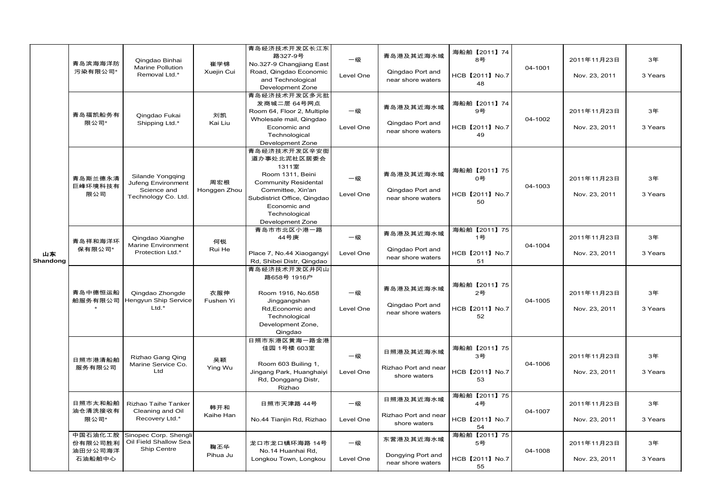|          | 青岛滨海海洋防<br>污染有限公司*                      | Qingdao Binhai<br><b>Marine Pollution</b><br>Removal Ltd.*                   | 崔学锦<br>Xuejin Cui   | 青岛经济技术开发区长江东<br>路327-9号                                                                     | 一级<br>Level One | 青岛港及其近海水域                              | 海船舶【2011】74<br>8号     |         | 2011年11月23日                  | 3年            |
|----------|-----------------------------------------|------------------------------------------------------------------------------|---------------------|---------------------------------------------------------------------------------------------|-----------------|----------------------------------------|-----------------------|---------|------------------------------|---------------|
|          |                                         |                                                                              |                     | No.327-9 Changjiang East<br>Road, Qingdao Economic<br>and Technological<br>Development Zone |                 | Qingdao Port and<br>near shore waters  | HCB 【2011】 No.7<br>48 | 04-1001 | Nov. 23, 2011                | 3 Years       |
|          | 青岛福凯船务有<br>限公司*                         | Qingdao Fukai<br>Shipping Ltd.*                                              | 刘凯<br>Kai Liu       | 青岛经济技术开发区多元批<br>发商城二层 64号网点<br>Room 64, Floor 2, Multiple<br>Wholesale mail, Qingdao        | 一级<br>Level One | 青岛港及其近海水域<br>Qingdao Port and          | 海船舶【2011】74<br>9号     | 04-1002 | 2011年11月23日                  | 3年            |
|          |                                         |                                                                              |                     | Economic and<br>Technological<br>Development Zone                                           |                 | near shore waters                      | HCB 【2011】 No.7<br>49 |         | Nov. 23, 2011                | 3 Years       |
|          | 青岛斯兰德永清<br>巨峰环境科技有<br>限公司               | Silande Yongqing<br>Jufeng Environment<br>Science and<br>Technology Co. Ltd. | 周宏根<br>Honggen Zhou | 青岛经济技术开发区辛安街<br>道办事处北泥社区居委会<br>1311室                                                        |                 |                                        |                       |         |                              |               |
|          |                                         |                                                                              |                     | Room 1311, Beini<br><b>Community Residental</b>                                             | 一级<br>Level One | 青岛港及其近海水域                              | 海船舶【2011】75<br>0号     | 04-1003 | 2011年11月23日                  | 3年            |
|          |                                         |                                                                              |                     | Committee, Xin'an<br>Subdistrict Office, Qingdao<br>Economic and                            |                 | Qingdao Port and<br>near shore waters  | HCB 【2011】 No.7<br>50 |         | Nov. 23, 2011                | 3 Years       |
|          |                                         |                                                                              |                     | Technological<br>Development Zone<br>青岛市市北区小港一路                                             |                 |                                        | 海船舶【2011】75           |         |                              |               |
| 山东       | 青岛祥和海洋环<br>保有限公司*                       | Qingdao Xianghe<br><b>Marine Environment</b><br>Protection Ltd.*             | 何锐<br>Rui He        | 44号庚<br>Place 7, No.44 Xiaogangyi                                                           | 一级<br>Level One | 青岛港及其近海水域<br>Qingdao Port and          | 1号<br>HCB 【2011】No.7  | 04-1004 | 2011年11月23日<br>Nov. 23, 2011 | 3年<br>3 Years |
| Shandong |                                         |                                                                              |                     | Rd, Shibei Distr, Qingdao<br>青岛经济技术开发区井冈山                                                   |                 | near shore waters                      | 51                    |         |                              |               |
|          | 青岛中德恒运船<br>舶服务有限公司                      | Qingdao Zhongde<br>Hengyun Ship Service<br>$Ltd.*$                           | 衣服伸<br>Fushen Yi    | 路658号 1916户<br>Room 1916, No.658<br>Jinggangshan                                            | 一级<br>Level One | 青岛港及其近海水域                              | 海船舶【2011】75<br>2号     | 04-1005 | 2011年11月23日                  | 3年            |
|          |                                         |                                                                              |                     | Rd, Economic and<br>Technological<br>Development Zone,                                      |                 | Qingdao Port and<br>near shore waters  | HCB 【2011】 No.7<br>52 |         | Nov. 23, 2011                | 3 Years       |
|          |                                         |                                                                              |                     | Qingdao<br>日照市东港区黄海一路金港                                                                     |                 |                                        |                       |         |                              |               |
|          | 日照市港清船舶<br>服务有限公司                       | Rizhao Gang Qing<br>Marine Service Co.                                       | 吴颖                  | 佳园 1号楼 603室<br>Room 603 Builing 1,                                                          | 一级              | 日照港及其近海水域                              | 海船舶【2011】75<br>3号     | 04-1006 | 2011年11月23日                  | 3年            |
|          |                                         | Ltd                                                                          | Ying Wu             | Jingang Park, Huanghaiyi<br>Rd, Donggang Distr,<br>Rizhao                                   | Level One       | Rizhao Port and near<br>shore waters   | HCB 【2011】 No.7<br>53 |         | Nov. 23, 2011                | 3 Years       |
|          | 日照市太和船舶<br>油仓清洗接收有<br>限公司*              | Rizhao Taihe Tanker<br>Cleaning and Oil<br>Recovery Ltd.*                    | 韩开和<br>Kaihe Han    | 日照市天津路 44号                                                                                  | 一级              | 日照港及其近海水域                              | 海船舶【2011】75<br>4号     | 04-1007 | 2011年11月23日                  | 3年            |
|          |                                         |                                                                              |                     | No.44 Tianjin Rd, Rizhao                                                                    | Level One       | Rizhao Port and near<br>shore waters   | HCB 【2011】 No.7<br>54 |         | Nov. 23, 2011                | 3 Years       |
|          | 中国石油化工股<br>份有限公司胜利<br>油田分公司海洋<br>石油船舶中心 | Sinopec Corp. Shengli<br>Oil Field Shallow Sea<br>Ship Centre                | 鞠丕华                 | 龙口市龙口镇环海路 14号<br>No.14 Huanhai Rd,                                                          | 一级              | 东营港及其近海水域                              | 海船舶【2011】75<br>5号     | 04-1008 | 2011年11月23日                  | 3年            |
|          |                                         |                                                                              | Pihua Ju            | Longkou Town, Longkou                                                                       | Level One       | Dongying Port and<br>near shore waters | HCB 【2011】 No.7<br>55 |         | Nov. 23, 2011                | 3 Years       |